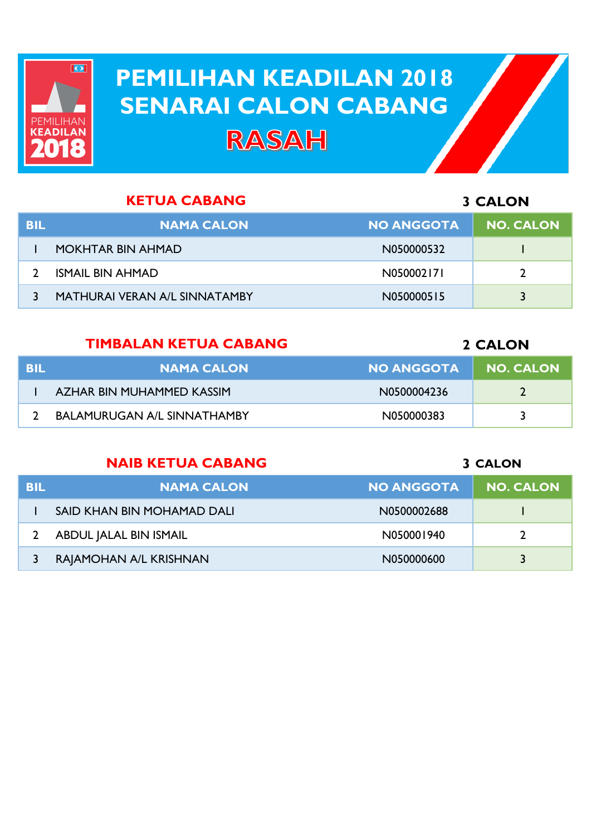

# **PEMILIHAN KEADILAN 2018 PEMILIHAN KEADILAN 2018 SENARAI CALON CABANG SENARAI CALON CABANGRASAH**

| <b>KETUA CABANG</b> |                               |                   | <b>3 CALON</b>   |
|---------------------|-------------------------------|-------------------|------------------|
| BIL                 | <b>NAMA CALON</b>             | <b>NO ANGGOTA</b> | <b>NO. CALON</b> |
|                     | MOKHTAR BIN AHMAD             | N050000532        |                  |
|                     | <b>ISMAIL BIN AHMAD</b>       | N050002171        |                  |
|                     | MATHURAI VERAN A/L SINNATAMBY | N050000515        |                  |

## **TIMBALAN KETUA CABANG**

| -BIL | <b>NAMA CALON</b>                  | <b>NO ANGGOTA</b> | <b>I</b> NO. CALON |
|------|------------------------------------|-------------------|--------------------|
|      | AZHAR BIN MUHAMMED KASSIM          | N0500004236       |                    |
|      | <b>BALAMURUGAN A/L SINNATHAMBY</b> | N050000383        |                    |

# **NAIB KETUA CABANG**

**3 CALON**

**2 CALON**

| BIL | <b>NAMA CALON</b>          | <b>NO ANGGOTA</b> | <b>NO. CALON</b> |
|-----|----------------------------|-------------------|------------------|
|     | SAID KHAN BIN MOHAMAD DALI | N0500002688       |                  |
|     | ABDUL JALAL BIN ISMAIL     | N050001940        |                  |
|     | RAJAMOHAN A/L KRISHNAN     | N050000600        | 3                |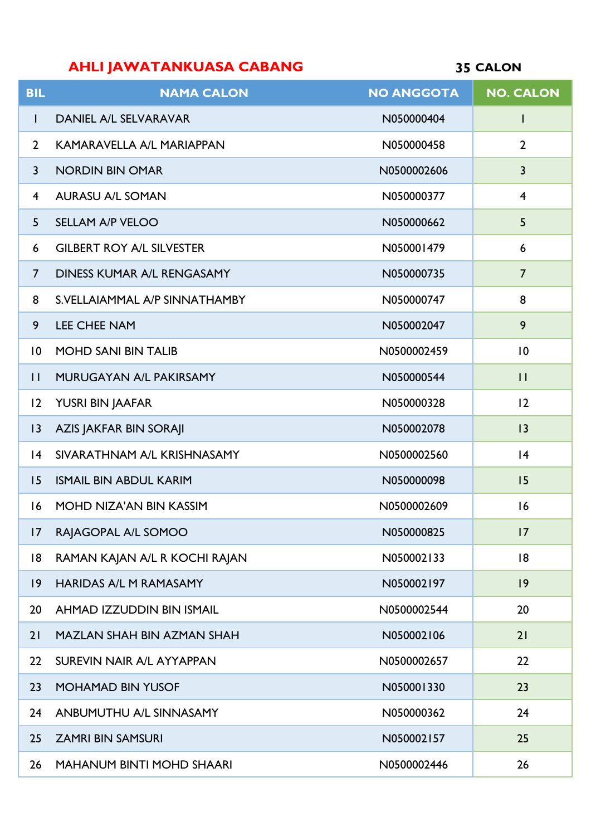# **AHLI JAWATANKUASA CABANG**

**CALON**

| <b>BIL</b>              | <b>NAMA CALON</b>                 | <b>NO ANGGOTA</b> | <b>NO. CALON</b>        |
|-------------------------|-----------------------------------|-------------------|-------------------------|
| T                       | <b>DANIEL A/L SELVARAVAR</b>      | N050000404        | I                       |
| $\overline{2}$          | KAMARAVELLA A/L MARIAPPAN         | N050000458        | $\overline{2}$          |
| $\overline{\mathbf{3}}$ | <b>NORDIN BIN OMAR</b>            | N0500002606       | $\overline{\mathbf{3}}$ |
| 4                       | <b>AURASU A/L SOMAN</b>           | N050000377        | $\overline{4}$          |
| 5                       | <b>SELLAM A/P VELOO</b>           | N050000662        | 5                       |
| 6                       | <b>GILBERT ROY A/L SILVESTER</b>  | N050001479        | 6                       |
| $\overline{7}$          | DINESS KUMAR A/L RENGASAMY        | N050000735        | $\overline{7}$          |
| 8                       | S.VELLAIAMMAL A/P SINNATHAMBY     | N050000747        | 8                       |
| 9                       | <b>LEE CHEE NAM</b>               | N050002047        | 9                       |
| $\overline{0}$          | <b>MOHD SANI BIN TALIB</b>        | N0500002459       | 10                      |
| $\mathbf{1}$            | MURUGAYAN A/L PAKIRSAMY           | N050000544        | $\mathbf{1}$            |
| 2                       | YUSRI BIN JAAFAR                  | N050000328        | 12                      |
| 3                       | AZIS JAKFAR BIN SORAJI            | N050002078        | 3                       |
| 4                       | SIVARATHNAM A/L KRISHNASAMY       | N0500002560       | 4                       |
| 15                      | <b>ISMAIL BIN ABDUL KARIM</b>     | N050000098        | 15                      |
| 16                      | <b>MOHD NIZA'AN BIN KASSIM</b>    | N0500002609       | 16                      |
| 17                      | RAJAGOPAL A/L SOMOO               | N050000825        | 17                      |
| 18                      | RAMAN KAJAN A/L R KOCHI RAJAN     | N050002133        | 18                      |
| $ 9\rangle$             | <b>HARIDAS A/L M RAMASAMY</b>     | N050002197        | 9                       |
| 20                      | AHMAD IZZUDDIN BIN ISMAIL         | N0500002544       | 20                      |
| 21                      | <b>MAZLAN SHAH BIN AZMAN SHAH</b> | N050002106        | 21                      |
| 22                      | SUREVIN NAIR A/L AYYAPPAN         | N0500002657       | 22                      |
| 23                      | <b>MOHAMAD BIN YUSOF</b>          | N050001330        | 23                      |
| 24                      | ANBUMUTHU A/L SINNASAMY           | N050000362        | 24                      |
| 25                      | <b>ZAMRI BIN SAMSURI</b>          | N050002157        | 25                      |
| 26                      | <b>MAHANUM BINTI MOHD SHAARI</b>  | N0500002446       | 26                      |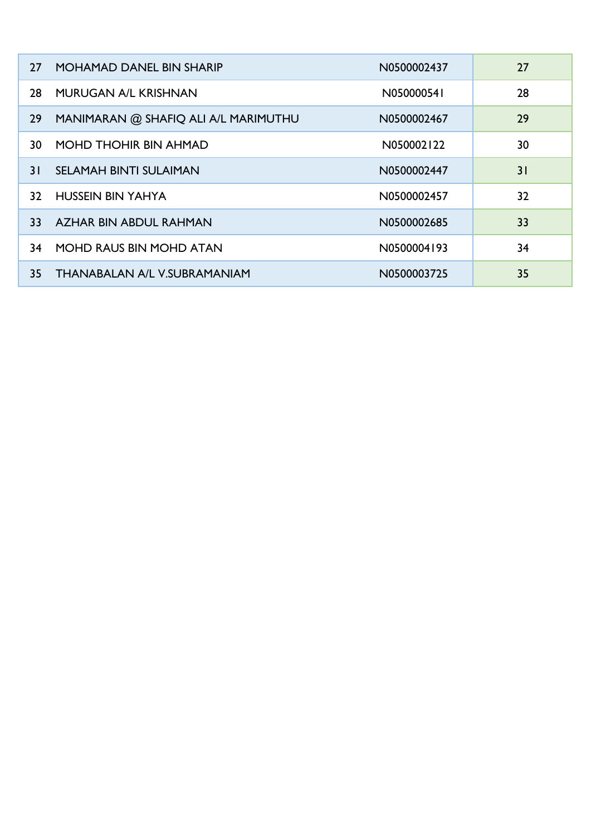| 27  | <b>MOHAMAD DANEL BIN SHARIP</b>      | N0500002437 | 27 |
|-----|--------------------------------------|-------------|----|
| 28  | <b>MURUGAN A/L KRISHNAN</b>          | N050000541  | 28 |
| 29  | MANIMARAN @ SHAFIQ ALI A/L MARIMUTHU | N0500002467 | 29 |
| 30  | <b>MOHD THOHIR BIN AHMAD</b>         | N050002122  | 30 |
| 3 I | <b>SELAMAH BINTI SULAIMAN</b>        | N0500002447 | 31 |
| 32  | <b>HUSSEIN BIN YAHYA</b>             | N0500002457 | 32 |
| 33  | <b>AZHAR BIN ABDUL RAHMAN</b>        | N0500002685 | 33 |
| 34  | <b>MOHD RAUS BIN MOHD ATAN</b>       | N0500004193 | 34 |
| 35  | THANABALAN A/L V.SUBRAMANIAM         | N0500003725 | 35 |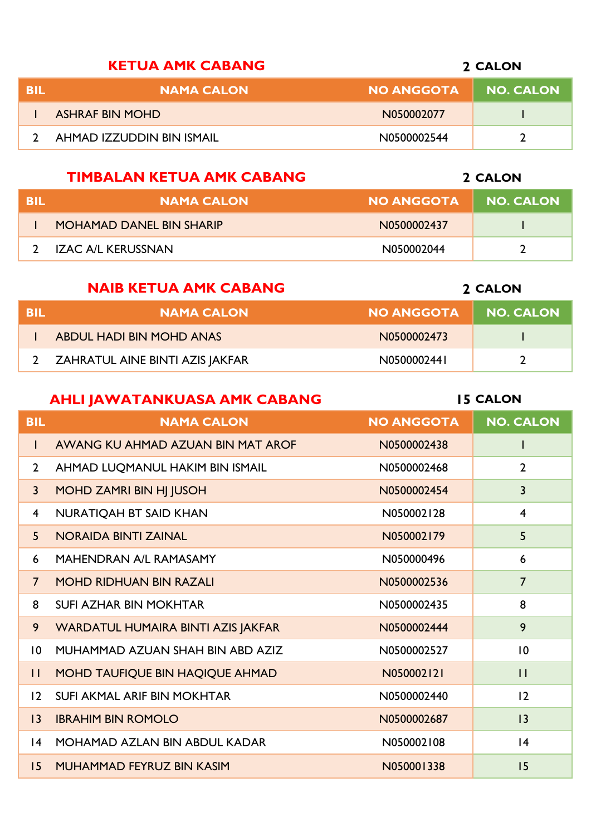#### **KETUA AMK CABANG**

| -RII | <b>NAMA CALON</b>         | NO ANGGOTA  | NO. CALON |
|------|---------------------------|-------------|-----------|
|      | <b>ASHRAF BIN MOHD</b>    | N050002077  |           |
|      | AHMAD IZZUDDIN BIN ISMAIL | N0500002544 |           |

**CALON**

**CALON**

### **TIMBALAN KETUA AMK CABANG**

| -BIL | NO ANGGOTA I<br><b>NAMA CALON</b>       | <b>I</b> NO. CALON |
|------|-----------------------------------------|--------------------|
|      | MOHAMAD DANEL BIN SHARIP<br>N0500002437 |                    |
|      | IZAC A/L KERUSSNAN<br>N050002044        |                    |

| <b>NAIB KETUA AMK CABANG</b> |                                 | 2 CALON           |                  |
|------------------------------|---------------------------------|-------------------|------------------|
| <b>BIL</b>                   | <b>NAMA CALON</b>               | <b>NO ANGGOTA</b> | <b>NO. CALON</b> |
|                              | ABDUL HADI BIN MOHD ANAS        | N0500002473       |                  |
|                              | ZAHRATUL AINE BINTI AZIS JAKFAR | N0500002441       |                  |

# **AHLI JAWATANKUASA AMK CABANG**

|                | <b>AHLI JAWATANKUASA AMK CABANG</b> | <b>15 CALON</b>   |                  |
|----------------|-------------------------------------|-------------------|------------------|
| <b>BIL</b>     | <b>NAMA CALON</b>                   | <b>NO ANGGOTA</b> | <b>NO. CALON</b> |
| L              | AWANG KU AHMAD AZUAN BIN MAT AROF   | N0500002438       | I                |
| $\overline{2}$ | AHMAD LUQMANUL HAKIM BIN ISMAIL     | N0500002468       | $\overline{2}$   |
| $\overline{3}$ | MOHD ZAMRI BIN HJ JUSOH             | N0500002454       | 3                |
| $\overline{4}$ | NURATIQAH BT SAID KHAN              | N050002128        | $\overline{4}$   |
| 5 <sup>1</sup> | <b>NORAIDA BINTI ZAINAL</b>         | N050002179        | 5                |
| 6              | MAHENDRAN A/L RAMASAMY              | N050000496        | 6                |
| $\overline{7}$ | <b>MOHD RIDHUAN BIN RAZALI</b>      | N0500002536       | $\overline{7}$   |
| 8              | <b>SUFI AZHAR BIN MOKHTAR</b>       | N0500002435       | 8                |
| 9              | WARDATUL HUMAIRA BINTI AZIS JAKFAR  | N0500002444       | 9                |
| 10             | MUHAMMAD AZUAN SHAH BIN ABD AZIZ    | N0500002527       | 10               |
| $\mathbf{H}$   | MOHD TAUFIQUE BIN HAQIQUE AHMAD     | N050002121        | $\mathbf{1}$     |
| 12             | <b>SUFI AKMAL ARIF BIN MOKHTAR</b>  | N0500002440       | 12               |
| 3              | <b>IBRAHIM BIN ROMOLO</b>           | N0500002687       | 3                |
| 4              | MOHAMAD AZLAN BIN ABDUL KADAR       | N050002108        | 4                |
| 15             | MUHAMMAD FEYRUZ BIN KASIM           | N050001338        | 15               |